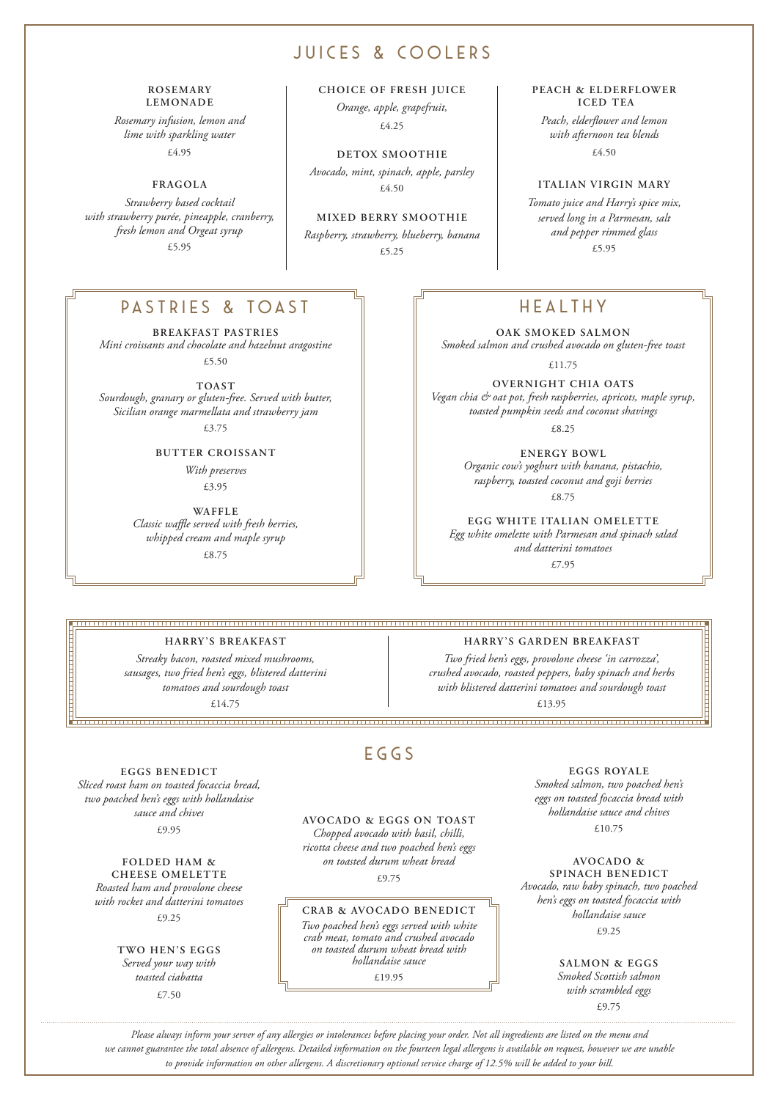# JUICES & COOLERS

#### **ROSEMARY LEMONADE**

*Rosemary infusion, lemon and lime with sparkling water*  £4.95

**FRAGOLA**

*Strawberry based cocktail with strawberry purée, pineapple, cranberry, fresh lemon and Orgeat syrup* £5.95

## PASTRIES & TOAST  $\Box$  Fig. FOR THE HEALTHY

**BREAKFAST PASTRIES** *Mini croissants and chocolate and hazelnut aragostine* £5.50

**TOAST** *Sourdough, granary or gluten-free. Served with butter, Sicilian orange marmellata and strawberry jam*

£3.75

### **BUTTER CROISSANT**

*With preserves* £3.95

**WAFFLE** *Classic waffle served with fresh berries, whipped cream and maple syrup* £8.75

**CHOICE OF FRESH JUICE**

*Orange, apple, grapefruit,*  £4.25

**DETOX SMOOTHIE** *Avocado, mint, spinach, apple, parsley* £4.50

# **MIXED BERRY SMOOTHIE**

*Raspberry, strawberry, blueberry, banana* £5.25

#### **PEACH & ELDERFLOWER ICED TEA**

*Peach, elderflower and lemon with afternoon tea blends* £4.50

### **ITALIAN VIRGIN MARY**

*Tomato juice and Harry's spice mix, served long in a Parmesan, salt and pepper rimmed glass* £5.95

**OAK SMOKED SALMON**  *Smoked salmon and crushed avocado on gluten-free toast*

£11.75

**OVERNIGHT CHIA OATS** *Vegan chia & oat pot, fresh raspberries, apricots, maple syrup, toasted pumpkin seeds and coconut shavings* 

£8.25

**ENERGY BOWL** *Organic cow's yoghurt with banana, pistachio, raspberry, toasted coconut and goji berries* £8.75

**EGG WHITE ITALIAN OMELETTE** *Egg white omelette with Parmesan and spinach salad and datterini tomatoes*

£7.95

#### **HARRY 'S BREAKFAST**

*Streaky bacon, roasted mixed mushrooms, sausages, two fried hen's eggs, blistered datterini tomatoes and sourdough toast* £14.75

## **HARRY 'S GARDEN BREAKFAST**

*Two fried hen's eggs, provolone cheese 'in carrozza', crushed avocado, roasted peppers, baby spinach and herbs with blistered datterini tomatoes and sourdough toast*

£13.95

#### **EGGS BENEDICT** *Sliced roast ham on toasted focaccia bread, two poached hen's eggs with hollandaise sauce and chives*  £9.95

**FOLDED HAM & CHEESE OMELETTE** *Roasted ham and provolone cheese with rocket and datterini tomatoes*  £9.25

> **TWO HEN'S EGGS** *Served your way with toasted ciabatta*

> > £7.50

# $EGGS$

**AVOCADO & EGGS ON TOAST**  *Chopped avocado with basil, chilli, ricotta cheese and two poached hen's eggs on toasted durum wheat bread*

 $\angle$ 9.75

#### **CRAB & AVOCADO BENEDICT**

*Two poached hen's eggs served with white crab meat, tomato and crushed avocado on toasted durum wheat bread with hollandaise sauce* £19.95

**EGGS ROYALE** *Smoked salmon, two poached hen's* 

*eggs on toasted focaccia bread with hollandaise sauce and chives* £10.75

**AVOCADO & SPINACH BENEDICT** *Avocado, raw baby spinach, two poached hen's eggs on toasted focaccia with hollandaise sauce* £9.25

> **SALMON & EGGS** *Smoked Scottish salmon with scrambled eggs*  £9.75

*Please always inform your server of any allergies or intolerances before placing your order. Not all ingredients are listed on the menu and we cannot guarantee the total absence of allergens. Detailed information on the fourteen legal allergens is available on request, however we are unable to provide information on other allergens. A discretionary optional service charge of 12.5% will be added to your bill.*